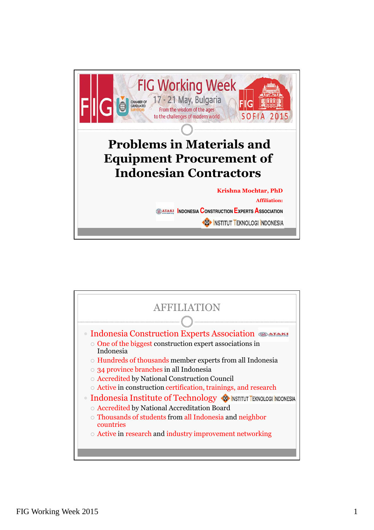

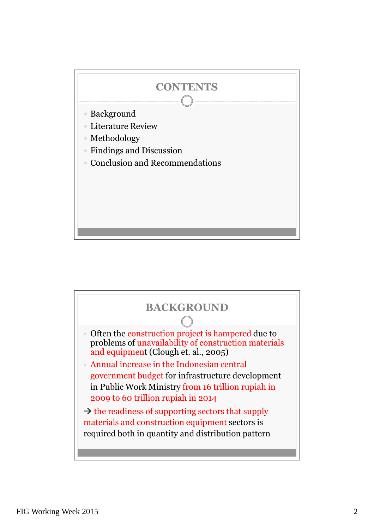

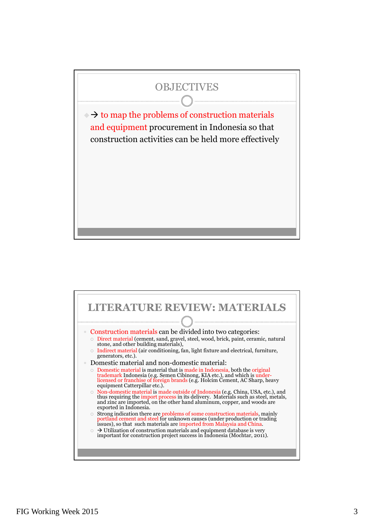

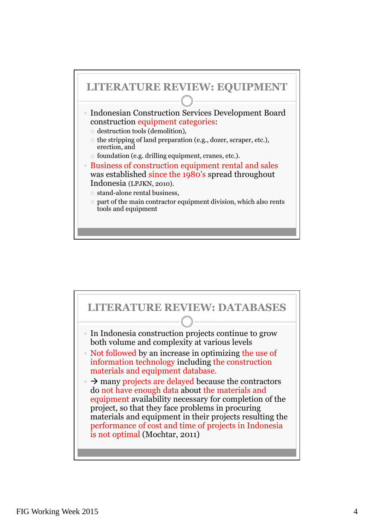

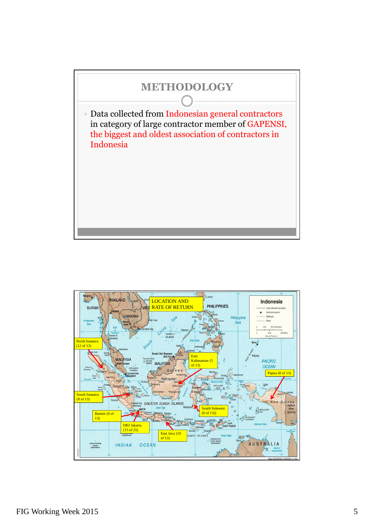

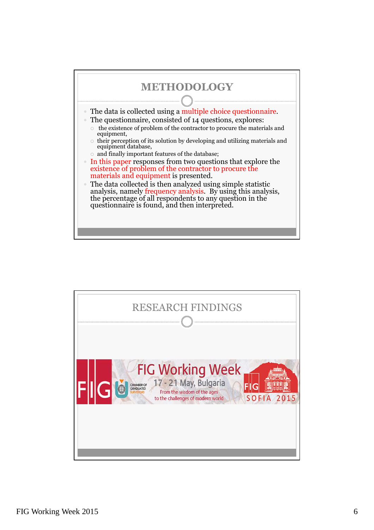

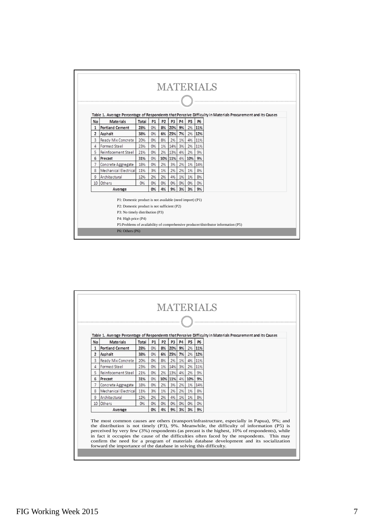|                |                                                          |       |    |                |                |           |                |           | <b>MATERIALS</b>                                                                                            |
|----------------|----------------------------------------------------------|-------|----|----------------|----------------|-----------|----------------|-----------|-------------------------------------------------------------------------------------------------------------|
|                |                                                          |       |    |                |                |           |                |           |                                                                                                             |
|                |                                                          |       |    |                |                |           |                |           |                                                                                                             |
|                |                                                          |       |    |                |                |           |                |           |                                                                                                             |
|                |                                                          |       |    |                |                |           |                |           | Table 1. Average Percentage of Respondents that Perceive Difficulty in Materials Procurement and its Causes |
| <b>No</b>      | <b>Materials</b>                                         | Total | P1 | P <sub>2</sub> | P <sub>3</sub> | <b>P4</b> | P <sub>5</sub> | <b>P6</b> |                                                                                                             |
| 1              | <b>Portland Cement</b>                                   | 28%   | 0% | 8%             | 20%            | 9%        | 2%             | 11%       |                                                                                                             |
| $\overline{2}$ | Asphalt                                                  | 38%   | 0% | 6%             | 25%            | 7%        | 2%             | 12%       |                                                                                                             |
| 3              | Ready Mix Concrete                                       | 20%   | 0% | 8%             | 2%             | 1%        | 4%             | 11%       |                                                                                                             |
| 4              | Formed Steel                                             | 23%   | 0% | 1%             | 14%            | 3%        | 2%             | 11%       |                                                                                                             |
| 5              | Reinfocement Steel                                       | 21%   | 0% | 2%             | 13%            | 4%        | 2%             | 9%        |                                                                                                             |
| 6              | Precast                                                  | 31%   | 0% | 10%            | 11%            | 4%        | 10%            | 9%        |                                                                                                             |
| 7              | Concrete Aggregate                                       | 18%   | 0% | 2%             | 3%             | 2%        | 1%             | 14%       |                                                                                                             |
| 8              | Mechanical Electrical                                    | 11%   | 3% | 1%             | 2%             | 2%        | 1%             | 8%        |                                                                                                             |
| 9              | Architectural                                            | 12%   | 2% | 2%             | 4%             | 1%        | 1%             | 8%        |                                                                                                             |
|                | 10 Others                                                | 0%    | 0% | 0%             | 0%             | 0%        | 0%             | 0%        |                                                                                                             |
|                | Average                                                  |       | 0% | 4%             | 9%             | 3%        | 3%             | 9%        |                                                                                                             |
|                |                                                          |       |    |                |                |           |                |           |                                                                                                             |
|                | P1: Domestic product is not available (need import) (P1) |       |    |                |                |           |                |           |                                                                                                             |
|                | P2: Domestic product is not sufficient (P2)              |       |    |                |                |           |                |           |                                                                                                             |
|                | P3: No timely distribution (P3)                          |       |    |                |                |           |                |           |                                                                                                             |
|                | P4: High price (P4)                                      |       |    |                |                |           |                |           |                                                                                                             |
|                |                                                          |       |    |                |                |           |                |           | P5:Problems of availability of comprehensive producer/distributor information (P5)                          |
|                | P6: Others (P6)                                          |       |    |                |                |           |                |           |                                                                                                             |

|                |                                                                    |            |           |                |                |           |           |           | Table 1. Average Percentage of Respondents that Perceive Difficulty in Materials Procurement and its Causes                                                                                                                                                                                                                                                                                                                                                                           |
|----------------|--------------------------------------------------------------------|------------|-----------|----------------|----------------|-----------|-----------|-----------|---------------------------------------------------------------------------------------------------------------------------------------------------------------------------------------------------------------------------------------------------------------------------------------------------------------------------------------------------------------------------------------------------------------------------------------------------------------------------------------|
| No             | <b>Materials</b>                                                   | Total      | <b>P1</b> | P <sub>2</sub> | P <sub>3</sub> | <b>P4</b> | P5        | <b>P6</b> |                                                                                                                                                                                                                                                                                                                                                                                                                                                                                       |
| $\mathbf{1}$   | Portland Cement                                                    | 28%        | 0%        | 8%             | 20%            | 9%        | 2%        | 11%       |                                                                                                                                                                                                                                                                                                                                                                                                                                                                                       |
| $\overline{2}$ | Asphalt                                                            | 38%        | 0%        | 6%             | 25%            | 7%        | 2%        | 12%       |                                                                                                                                                                                                                                                                                                                                                                                                                                                                                       |
| 3<br>4         | Ready Mix Concrete                                                 | 20%        | 0%        | 8%             | 2%             | 1%        | 4%        | 11%       |                                                                                                                                                                                                                                                                                                                                                                                                                                                                                       |
|                | Formed Steel                                                       | 23%        | 0%        | 1%             | 14%            | 3%        | 2%        | 11%       |                                                                                                                                                                                                                                                                                                                                                                                                                                                                                       |
| 5<br>6         | Reinfocement Steel<br>Precast                                      | 21%<br>31% | 0%<br>0%  | 2%             | 13%<br>10% 11% | 4%<br>4%  | 2%<br>10% | 9%<br>9%  |                                                                                                                                                                                                                                                                                                                                                                                                                                                                                       |
| 7              | Concrete Aggregate                                                 | 18%        | 0%        | 2%             | 3%             | 2%        | 1%        | 14%       |                                                                                                                                                                                                                                                                                                                                                                                                                                                                                       |
| 8              | Mechanical Electrical                                              | 11%        | 3%        | 1%             | 2%             | 2%        | 1%        | 8%        |                                                                                                                                                                                                                                                                                                                                                                                                                                                                                       |
| 9              | Architectural                                                      | 12%        | 2%        | 2%             | 4%             | 1%        | 1%        | 8%        |                                                                                                                                                                                                                                                                                                                                                                                                                                                                                       |
|                | 10 Others                                                          | 0%         | 0%        | 0%             | 0%             | 0%        | 0%        | 0%        |                                                                                                                                                                                                                                                                                                                                                                                                                                                                                       |
|                | Average                                                            |            | 0%        | 4%             | 9%             | 3%        | 3%        | 9%        |                                                                                                                                                                                                                                                                                                                                                                                                                                                                                       |
|                | forward the importance of the database in solving this difficulty. |            |           |                |                |           |           |           | The most common causes are others (transport/infrastructure, especially in Papua), 9%; and<br>the distribution is not timely $(P3)$ , 9%. Meanwhile, the difficulty of information $(P5)$ is<br>perceived by very few (3%) respondents (as precast is the highest, 10% of respondents), while<br>in fact it occupies the cause of the difficulties often faced by the respondents. This may<br>confirm the need for a program of materials database development and its socialization |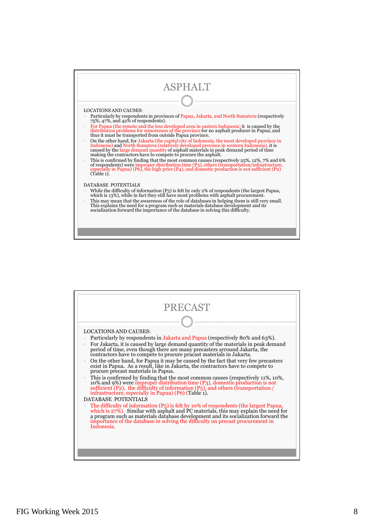

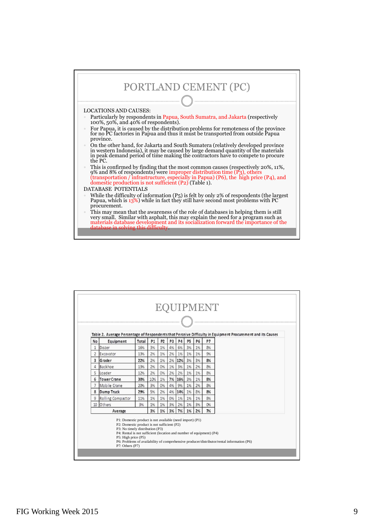

|                | Table 2. Average Percentage of Respondents that Perceive Difficulty in Equipment Procurement and its Causes                                                                                                                                                  |       |                |                |                |                |                |    |    |                                                                                            |  |
|----------------|--------------------------------------------------------------------------------------------------------------------------------------------------------------------------------------------------------------------------------------------------------------|-------|----------------|----------------|----------------|----------------|----------------|----|----|--------------------------------------------------------------------------------------------|--|
| No             | Equipment                                                                                                                                                                                                                                                    | Total | P <sub>1</sub> | P <sub>2</sub> | P <sub>3</sub> | P <sub>4</sub> | P <sub>5</sub> | P6 | P7 |                                                                                            |  |
|                | Dozer                                                                                                                                                                                                                                                        | 16%   | 3%             | 1%             | 4%             | 6%             | 3%             | 1% | 8% |                                                                                            |  |
| $\overline{2}$ | Excavator                                                                                                                                                                                                                                                    | 13%   | 2%             | 1%             | 2%             | 1%             | 1%             | 1% | 9% |                                                                                            |  |
| $\overline{3}$ | Grader                                                                                                                                                                                                                                                       | 22%   | 2%             | 1%             | 2%             | 12%            | 3%             | 3% | 8% |                                                                                            |  |
| 4              | Backhoe                                                                                                                                                                                                                                                      | 13%   | 2%             | 0%             | 1%             | 3%             | 1%             | 2% | 8% |                                                                                            |  |
| 5              | Loader                                                                                                                                                                                                                                                       | 12%   | 2%             | 0%             | 2%             | 2%             | 1%             | 1% | 8% |                                                                                            |  |
| 6              | Tower Crane                                                                                                                                                                                                                                                  | 30%   | 10%            | 1%             | 7%             | 16%            | 3%             | 1% | 8% |                                                                                            |  |
|                | Mobile Crane                                                                                                                                                                                                                                                 | 20%   | 3%             | 0%             | 4%             | 9%             | 1%             | 2% | 8% |                                                                                            |  |
| 8              | Dump Truck                                                                                                                                                                                                                                                   | 29%   | 5%             | 2%             | 4%             | 14%            | 1%             | 8% | 8% |                                                                                            |  |
| 9              | Rolling Compactor                                                                                                                                                                                                                                            | 11%   | 1%             | 1%             | 0%             | 1%             | 1%             | 1% | 8% |                                                                                            |  |
|                | 10 Others                                                                                                                                                                                                                                                    | 3%    | 1%             | 1%             | 3%             | 2%             | 1%             | 3% | 0% |                                                                                            |  |
|                | Average                                                                                                                                                                                                                                                      |       | 3%             | 1%             | 3%             | 7%             | 1%             | 2% | 7% |                                                                                            |  |
|                | P1: Domestic product is not available (need import) (P1)<br>P2: Domestic product is not sufficient (P2)<br>P3: No timely distribution (P3)<br>P4: Rental is not sufficient (location and number of equipment) (P4)<br>P5: High price (P5)<br>P7: Others (P7) |       |                |                |                |                |                |    |    | P6: Problems of availability of comprehensive producer/distributor/rental information (P6) |  |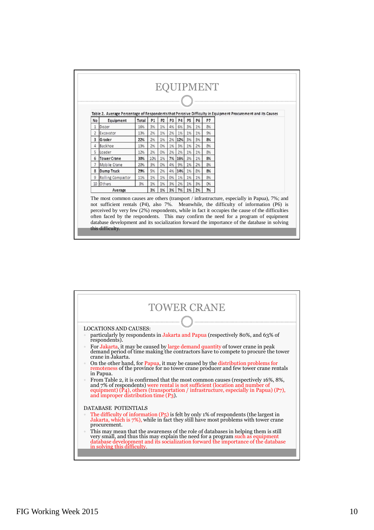|                |                   |       |                |                |                |                |                |    |    | Table 2. Average Percentage of Respondents that Perceive Difficulty in Equipment Procurement and its Causes |
|----------------|-------------------|-------|----------------|----------------|----------------|----------------|----------------|----|----|-------------------------------------------------------------------------------------------------------------|
| No             | Equipment         | Total | P <sub>1</sub> | P <sub>2</sub> | P <sub>3</sub> | P <sub>4</sub> | P <sub>5</sub> | P6 | P7 |                                                                                                             |
| $\mathbf{1}$   | Dozer             | 16%   | 3%             | 1%             | 4%             | 6%             | 3%             | 1% | 8% |                                                                                                             |
| $\overline{2}$ | Excavator         | 13%   | 2%             | 1%             | 2%             | 1%             | 1%             | 1% | 9% |                                                                                                             |
|                | 3 Grader          | 22%   | 2%             | 1%             |                | 2% 12%         | 3%             | 3% | 8% |                                                                                                             |
|                | 4 Backhoe         | 13%   | 2%             | 0%             |                | 1% 3%          | 1%             | 2% | 8% |                                                                                                             |
|                | 5 Loader          | 12%   | 2%             | 0%             | 2%             | 2%             | 1%             | 1% | 8% |                                                                                                             |
|                | 6 Tower Crane     | 30%   | 10%            | 1%             |                | 7% 16%         | 3%             | 1% | 8% |                                                                                                             |
|                | Mobile Crane      | 20%   | 3%             | 0%             | 4%             | 9%             | 1%             | 2% | 8% |                                                                                                             |
| 8              | Dump Truck        | 29%   | 5%             | 2%             | 4%             | 14%            | 1%             | 8% | 8% |                                                                                                             |
| 9              | Rolling Compactor | 11%   | 1%             | 1%             | 0%             | 1%             | 1%             | 1% | 8% |                                                                                                             |
|                | 10 Others         | 3%    | 1%             | 1%             | 3%             | 2%             | 1%             | 3% | 0% |                                                                                                             |
|                | Average           |       | 3%             | 1%             | 3%             | 7%             | 1%             | 2% | 7% |                                                                                                             |
|                |                   |       |                |                |                |                |                |    |    | The most common causes are others (transport / infrastructure, especially in Papua), 7%; and                |
|                |                   |       |                |                |                |                |                |    |    | not sufficient rentals (P4), also 7%. Meanwhile, the difficulty of information (P6) is                      |

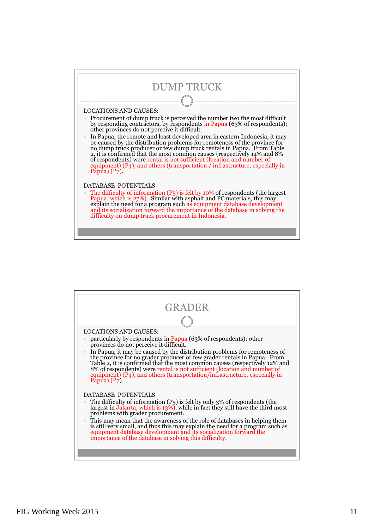

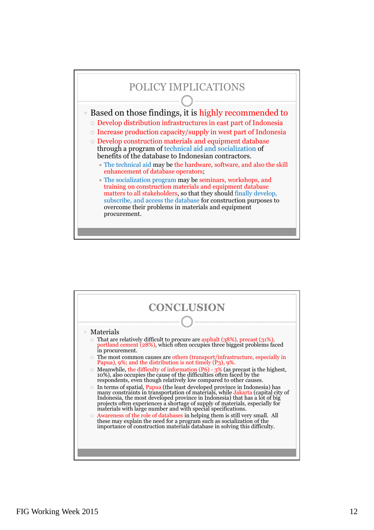

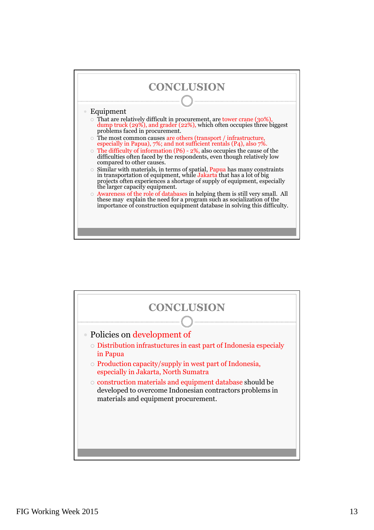